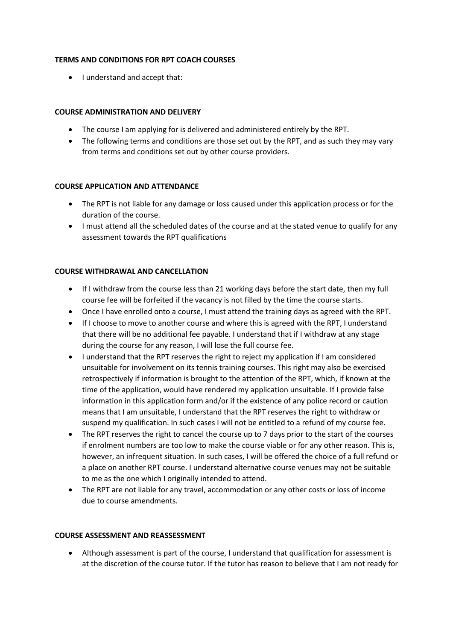## **TERMS AND CONDITIONS FOR RPT COACH COURSES**

• I understand and accept that:

## **COURSE ADMINISTRATION AND DELIVERY**

- The course I am applying for is delivered and administered entirely by the RPT.
- The following terms and conditions are those set out by the RPT, and as such they may vary from terms and conditions set out by other course providers.

# **COURSE APPLICATION AND ATTENDANCE**

- The RPT is not liable for any damage or loss caused under this application process or for the duration of the course.
- I must attend all the scheduled dates of the course and at the stated venue to qualify for any assessment towards the RPT qualifications

# **COURSE WITHDRAWAL AND CANCELLATION**

- If I withdraw from the course less than 21 working days before the start date, then my full course fee will be forfeited if the vacancy is not filled by the time the course starts.
- Once I have enrolled onto a course, I must attend the training days as agreed with the RPT.
- If I choose to move to another course and where this is agreed with the RPT, I understand that there will be no additional fee payable. I understand that if I withdraw at any stage during the course for any reason, I will lose the full course fee.
- I understand that the RPT reserves the right to reject my application if I am considered unsuitable for involvement on its tennis training courses. This right may also be exercised retrospectively if information is brought to the attention of the RPT, which, if known at the time of the application, would have rendered my application unsuitable. If I provide false information in this application form and/or if the existence of any police record or caution means that I am unsuitable, I understand that the RPT reserves the right to withdraw or suspend my qualification. In such cases I will not be entitled to a refund of my course fee.
- The RPT reserves the right to cancel the course up to 7 days prior to the start of the courses if enrolment numbers are too low to make the course viable or for any other reason. This is, however, an infrequent situation. In such cases, I will be offered the choice of a full refund or a place on another RPT course. I understand alternative course venues may not be suitable to me as the one which I originally intended to attend.
- The RPT are not liable for any travel, accommodation or any other costs or loss of income due to course amendments.

### **COURSE ASSESSMENT AND REASSESSMENT**

• Although assessment is part of the course, I understand that qualification for assessment is at the discretion of the course tutor. If the tutor has reason to believe that I am not ready for